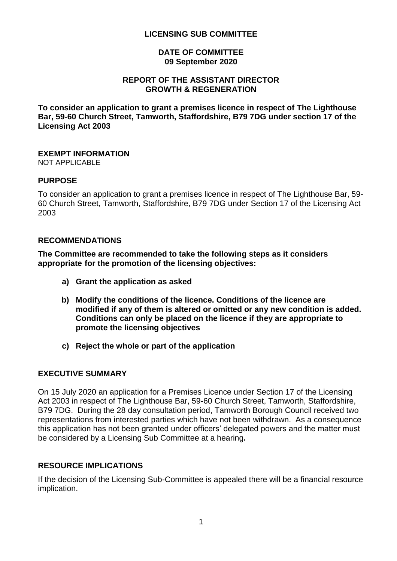#### **LICENSING SUB COMMITTEE**

#### **DATE OF COMMITTEE 09 September 2020**

#### **REPORT OF THE ASSISTANT DIRECTOR GROWTH & REGENERATION**

**To consider an application to grant a premises licence in respect of The Lighthouse Bar, 59-60 Church Street, Tamworth, Staffordshire, B79 7DG under section 17 of the Licensing Act 2003**

# **EXEMPT INFORMATION**

NOT APPLICABLE

#### **PURPOSE**

To consider an application to grant a premises licence in respect of The Lighthouse Bar, 59- 60 Church Street, Tamworth, Staffordshire, B79 7DG under Section 17 of the Licensing Act 2003

#### **RECOMMENDATIONS**

**The Committee are recommended to take the following steps as it considers appropriate for the promotion of the licensing objectives:**

- **a) Grant the application as asked**
- **b) Modify the conditions of the licence. Conditions of the licence are modified if any of them is altered or omitted or any new condition is added. Conditions can only be placed on the licence if they are appropriate to promote the licensing objectives**
- **c) Reject the whole or part of the application**

#### **EXECUTIVE SUMMARY**

On 15 July 2020 an application for a Premises Licence under Section 17 of the Licensing Act 2003 in respect of The Lighthouse Bar, 59-60 Church Street, Tamworth, Staffordshire, B79 7DG. During the 28 day consultation period, Tamworth Borough Council received two representations from interested parties which have not been withdrawn. As a consequence this application has not been granted under officers' delegated powers and the matter must be considered by a Licensing Sub Committee at a hearing**.**

#### **RESOURCE IMPLICATIONS**

If the decision of the Licensing Sub-Committee is appealed there will be a financial resource implication.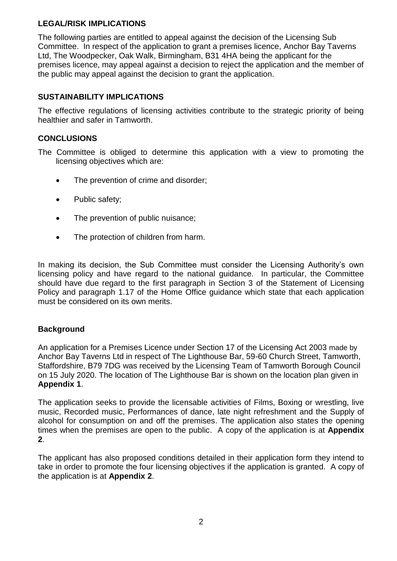## **LEGAL/RISK IMPLICATIONS**

The following parties are entitled to appeal against the decision of the Licensing Sub Committee. In respect of the application to grant a premises licence, Anchor Bay Taverns Ltd, The Woodpecker, Oak Walk, Birmingham, B31 4HA being the applicant for the premises licence, may appeal against a decision to reject the application and the member of the public may appeal against the decision to grant the application.

## **SUSTAINABILITY IMPLICATIONS**

The effective regulations of licensing activities contribute to the strategic priority of being healthier and safer in Tamworth.

## **CONCLUSIONS**

The Committee is obliged to determine this application with a view to promoting the licensing objectives which are:

- The prevention of crime and disorder;
- Public safety;
- The prevention of public nuisance;
- The protection of children from harm.

In making its decision, the Sub Committee must consider the Licensing Authority's own licensing policy and have regard to the national guidance. In particular, the Committee should have due regard to the first paragraph in Section 3 of the Statement of Licensing Policy and paragraph 1.17 of the Home Office guidance which state that each application must be considered on its own merits.

## **Background**

An application for a Premises Licence under Section 17 of the Licensing Act 2003 made by Anchor Bay Taverns Ltd in respect of The Lighthouse Bar, 59-60 Church Street, Tamworth, Staffordshire, B79 7DG was received by the Licensing Team of Tamworth Borough Council on 15 July 2020. The location of The Lighthouse Bar is shown on the location plan given in **Appendix 1**.

The application seeks to provide the licensable activities of Films, Boxing or wrestling, live music, Recorded music, Performances of dance, late night refreshment and the Supply of alcohol for consumption on and off the premises. The application also states the opening times when the premises are open to the public. A copy of the application is at **Appendix 2**.

The applicant has also proposed conditions detailed in their application form they intend to take in order to promote the four licensing objectives if the application is granted. A copy of the application is at **Appendix 2**.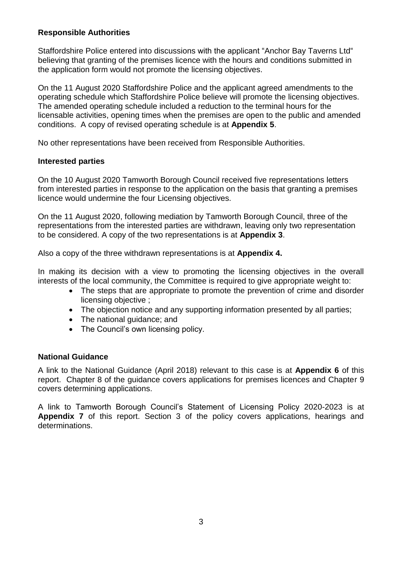## **Responsible Authorities**

Staffordshire Police entered into discussions with the applicant "Anchor Bay Taverns Ltd" believing that granting of the premises licence with the hours and conditions submitted in the application form would not promote the licensing objectives.

On the 11 August 2020 Staffordshire Police and the applicant agreed amendments to the operating schedule which Staffordshire Police believe will promote the licensing objectives. The amended operating schedule included a reduction to the terminal hours for the licensable activities, opening times when the premises are open to the public and amended conditions. A copy of revised operating schedule is at **Appendix 5**.

No other representations have been received from Responsible Authorities.

## **Interested parties**

On the 10 August 2020 Tamworth Borough Council received five representations letters from interested parties in response to the application on the basis that granting a premises licence would undermine the four Licensing objectives.

On the 11 August 2020, following mediation by Tamworth Borough Council, three of the representations from the interested parties are withdrawn, leaving only two representation to be considered. A copy of the two representations is at **Appendix 3**.

Also a copy of the three withdrawn representations is at **Appendix 4.** 

In making its decision with a view to promoting the licensing objectives in the overall interests of the local community, the Committee is required to give appropriate weight to:

- The steps that are appropriate to promote the prevention of crime and disorder licensing objective ;
- The objection notice and any supporting information presented by all parties;
- The national guidance; and
- The Council's own licensing policy.

## **National Guidance**

A link to the National Guidance (April 2018) relevant to this case is at **Appendix 6** of this report. Chapter 8 of the guidance covers applications for premises licences and Chapter 9 covers determining applications.

A link to Tamworth Borough Council's Statement of Licensing Policy 2020-2023 is at **Appendix 7** of this report. Section 3 of the policy covers applications, hearings and determinations.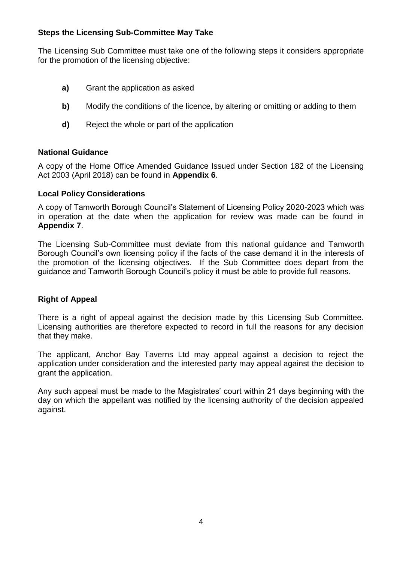## **Steps the Licensing Sub-Committee May Take**

The Licensing Sub Committee must take one of the following steps it considers appropriate for the promotion of the licensing objective:

- **a)** Grant the application as asked
- **b)** Modify the conditions of the licence, by altering or omitting or adding to them
- **d)** Reject the whole or part of the application

## **National Guidance**

A copy of the Home Office Amended Guidance Issued under Section 182 of the Licensing Act 2003 (April 2018) can be found in **Appendix 6**.

## **Local Policy Considerations**

A copy of Tamworth Borough Council's Statement of Licensing Policy 2020-2023 which was in operation at the date when the application for review was made can be found in **Appendix 7**.

The Licensing Sub-Committee must deviate from this national guidance and Tamworth Borough Council's own licensing policy if the facts of the case demand it in the interests of the promotion of the licensing objectives. If the Sub Committee does depart from the guidance and Tamworth Borough Council's policy it must be able to provide full reasons.

# **Right of Appeal**

There is a right of appeal against the decision made by this Licensing Sub Committee. Licensing authorities are therefore expected to record in full the reasons for any decision that they make.

The applicant, Anchor Bay Taverns Ltd may appeal against a decision to reject the application under consideration and the interested party may appeal against the decision to grant the application.

Any such appeal must be made to the Magistrates' court within 21 days beginning with the day on which the appellant was notified by the licensing authority of the decision appealed against.